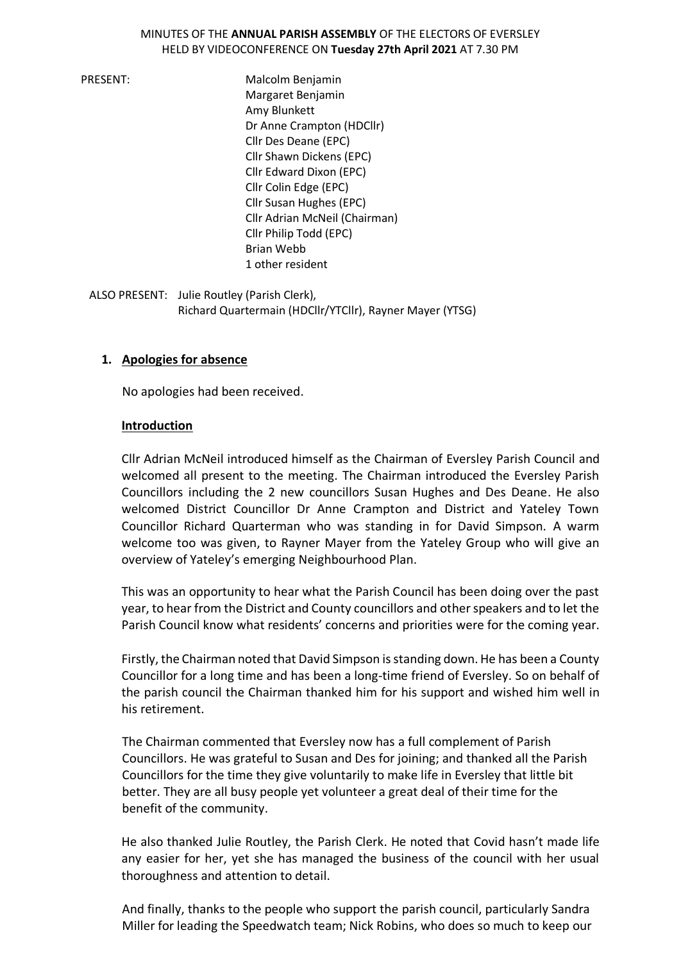#### MINUTES OF THE **ANNUAL PARISH ASSEMBLY** OF THE ELECTORS OF EVERSLEY HELD BY VIDEOCONFERENCE ON **Tuesday 27th April 2021** AT 7.30 PM

PRESENT: Malcolm Benjamin Margaret Benjamin Amy Blunkett Dr Anne Crampton (HDCllr) Cllr Des Deane (EPC) Cllr Shawn Dickens (EPC) Cllr Edward Dixon (EPC) Cllr Colin Edge (EPC) Cllr Susan Hughes (EPC) Cllr Adrian McNeil (Chairman) Cllr Philip Todd (EPC) Brian Webb 1 other resident

ALSO PRESENT: Julie Routley (Parish Clerk), Richard Quartermain (HDCllr/YTCllr), Rayner Mayer (YTSG)

### **1. Apologies for absence**

No apologies had been received.

#### **Introduction**

Cllr Adrian McNeil introduced himself as the Chairman of Eversley Parish Council and welcomed all present to the meeting. The Chairman introduced the Eversley Parish Councillors including the 2 new councillors Susan Hughes and Des Deane. He also welcomed District Councillor Dr Anne Crampton and District and Yateley Town Councillor Richard Quarterman who was standing in for David Simpson. A warm welcome too was given, to Rayner Mayer from the Yateley Group who will give an overview of Yateley's emerging Neighbourhood Plan.

This was an opportunity to hear what the Parish Council has been doing over the past year, to hear from the District and County councillors and other speakers and to let the Parish Council know what residents' concerns and priorities were for the coming year.

Firstly, the Chairman noted that David Simpson is standing down. He has been a County Councillor for a long time and has been a long-time friend of Eversley. So on behalf of the parish council the Chairman thanked him for his support and wished him well in his retirement.

The Chairman commented that Eversley now has a full complement of Parish Councillors. He was grateful to Susan and Des for joining; and thanked all the Parish Councillors for the time they give voluntarily to make life in Eversley that little bit better. They are all busy people yet volunteer a great deal of their time for the benefit of the community.

He also thanked Julie Routley, the Parish Clerk. He noted that Covid hasn't made life any easier for her, yet she has managed the business of the council with her usual thoroughness and attention to detail.

And finally, thanks to the people who support the parish council, particularly Sandra Miller for leading the Speedwatch team; Nick Robins, who does so much to keep our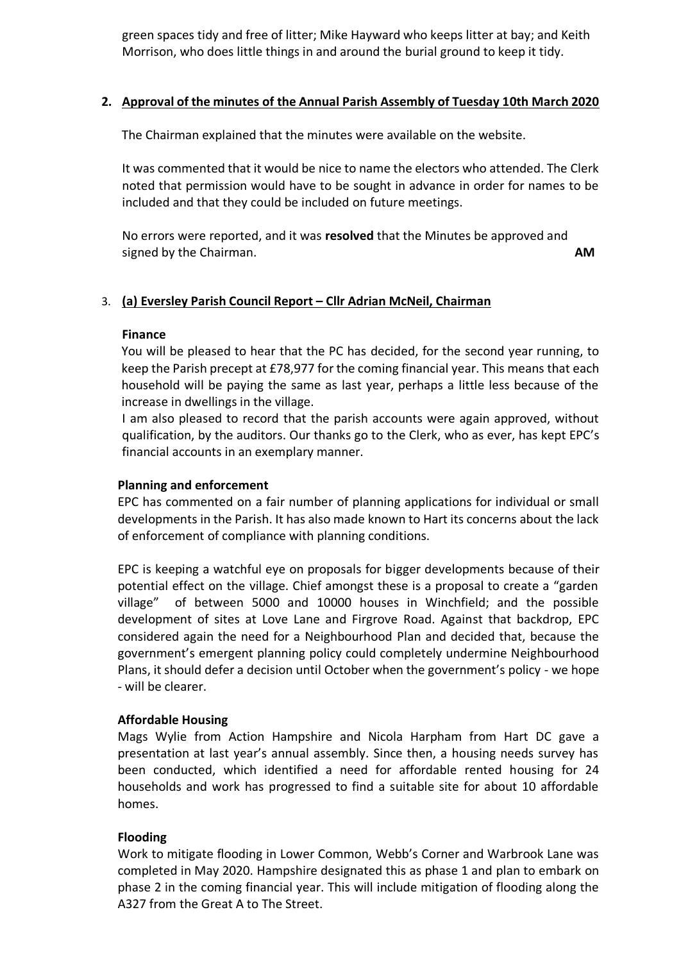green spaces tidy and free of litter; Mike Hayward who keeps litter at bay; and Keith Morrison, who does little things in and around the burial ground to keep it tidy.

### **2. Approval of the minutes of the Annual Parish Assembly of Tuesday 10th March 2020**

The Chairman explained that the minutes were available on the website.

It was commented that it would be nice to name the electors who attended. The Clerk noted that permission would have to be sought in advance in order for names to be included and that they could be included on future meetings.

No errors were reported, and it was **resolved** that the Minutes be approved and signed by the Chairman. **AM**

### 3. **(a) Eversley Parish Council Report – Cllr Adrian McNeil, Chairman**

### **Finance**

You will be pleased to hear that the PC has decided, for the second year running, to keep the Parish precept at £78,977 for the coming financial year. This means that each household will be paying the same as last year, perhaps a little less because of the increase in dwellings in the village.

I am also pleased to record that the parish accounts were again approved, without qualification, by the auditors. Our thanks go to the Clerk, who as ever, has kept EPC's financial accounts in an exemplary manner.

### **Planning and enforcement**

EPC has commented on a fair number of planning applications for individual or small developments in the Parish. It has also made known to Hart its concerns about the lack of enforcement of compliance with planning conditions.

EPC is keeping a watchful eye on proposals for bigger developments because of their potential effect on the village. Chief amongst these is a proposal to create a "garden village" of between 5000 and 10000 houses in Winchfield; and the possible development of sites at Love Lane and Firgrove Road. Against that backdrop, EPC considered again the need for a Neighbourhood Plan and decided that, because the government's emergent planning policy could completely undermine Neighbourhood Plans, it should defer a decision until October when the government's policy - we hope - will be clearer.

### **Affordable Housing**

Mags Wylie from Action Hampshire and Nicola Harpham from Hart DC gave a presentation at last year's annual assembly. Since then, a housing needs survey has been conducted, which identified a need for affordable rented housing for 24 households and work has progressed to find a suitable site for about 10 affordable homes.

### **Flooding**

Work to mitigate flooding in Lower Common, Webb's Corner and Warbrook Lane was completed in May 2020. Hampshire designated this as phase 1 and plan to embark on phase 2 in the coming financial year. This will include mitigation of flooding along the A327 from the Great A to The Street.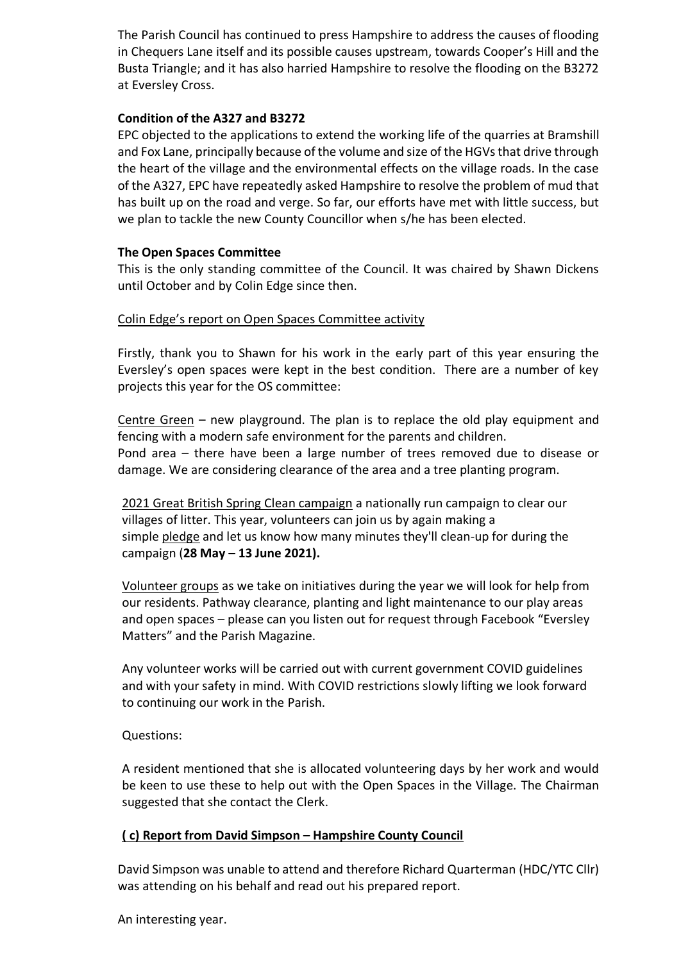The Parish Council has continued to press Hampshire to address the causes of flooding in Chequers Lane itself and its possible causes upstream, towards Cooper's Hill and the Busta Triangle; and it has also harried Hampshire to resolve the flooding on the B3272 at Eversley Cross.

### **Condition of the A327 and B3272**

EPC objected to the applications to extend the working life of the quarries at Bramshill and Fox Lane, principally because of the volume and size of the HGVs that drive through the heart of the village and the environmental effects on the village roads. In the case of the A327, EPC have repeatedly asked Hampshire to resolve the problem of mud that has built up on the road and verge. So far, our efforts have met with little success, but we plan to tackle the new County Councillor when s/he has been elected.

### **The Open Spaces Committee**

This is the only standing committee of the Council. It was chaired by Shawn Dickens until October and by Colin Edge since then.

### Colin Edge's report on Open Spaces Committee activity

Firstly, thank you to Shawn for his work in the early part of this year ensuring the Eversley's open spaces were kept in the best condition. There are a number of key projects this year for the OS committee:

Centre Green – new playground. The plan is to replace the old play equipment and fencing with a modern safe environment for the parents and children. Pond area – there have been a large number of trees removed due to disease or damage. We are considering clearance of the area and a tree planting program.

2021 Great British Spring Clean campaign a nationally run campaign to clear our villages of litter. This year, volunteers can join us by again making a simple [pledge](https://keepbritaintidy.cmail20.com/t/i-l-mhlkihl-jukrykaki-o/) and let us know how many minutes they'll clean-up for during the campaign (**28 May – 13 June 2021).**

Volunteer groups as we take on initiatives during the year we will look for help from our residents. Pathway clearance, planting and light maintenance to our play areas and open spaces – please can you listen out for request through Facebook "Eversley Matters" and the Parish Magazine.

Any volunteer works will be carried out with current government COVID guidelines and with your safety in mind. With COVID restrictions slowly lifting we look forward to continuing our work in the Parish.

# Questions:

A resident mentioned that she is allocated volunteering days by her work and would be keen to use these to help out with the Open Spaces in the Village. The Chairman suggested that she contact the Clerk.

# **( c) Report from David Simpson – Hampshire County Council**

David Simpson was unable to attend and therefore Richard Quarterman (HDC/YTC Cllr) was attending on his behalf and read out his prepared report.

An interesting year.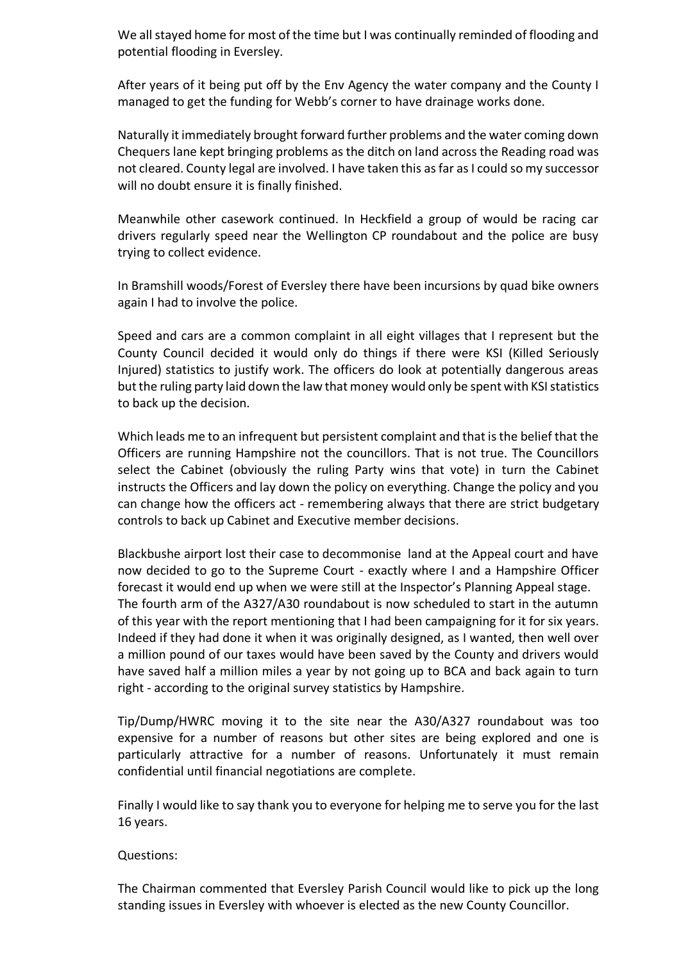We all stayed home for most of the time but I was continually reminded of flooding and potential flooding in Eversley.

After years of it being put off by the Env Agency the water company and the County I managed to get the funding for Webb's corner to have drainage works done.

Naturally it immediately brought forward further problems and the water coming down Chequers lane kept bringing problems as the ditch on land across the Reading road was not cleared. County legal are involved. I have taken this as far as I could so my successor will no doubt ensure it is finally finished.

Meanwhile other casework continued. In Heckfield a group of would be racing car drivers regularly speed near the Wellington CP roundabout and the police are busy trying to collect evidence.

In Bramshill woods/Forest of Eversley there have been incursions by quad bike owners again I had to involve the police.

Speed and cars are a common complaint in all eight villages that I represent but the County Council decided it would only do things if there were KSI (Killed Seriously Injured) statistics to justify work. The officers do look at potentially dangerous areas but the ruling party laid down the law that money would only be spent with KSI statistics to back up the decision.

Which leads me to an infrequent but persistent complaint and that is the belief that the Officers are running Hampshire not the councillors. That is not true. The Councillors select the Cabinet (obviously the ruling Party wins that vote) in turn the Cabinet instructs the Officers and lay down the policy on everything. Change the policy and you can change how the officers act - remembering always that there are strict budgetary controls to back up Cabinet and Executive member decisions.

Blackbushe airport lost their case to decommonise land at the Appeal court and have now decided to go to the Supreme Court - exactly where I and a Hampshire Officer forecast it would end up when we were still at the Inspector's Planning Appeal stage. The fourth arm of the A327/A30 roundabout is now scheduled to start in the autumn of this year with the report mentioning that I had been campaigning for it for six years. Indeed if they had done it when it was originally designed, as I wanted, then well over a million pound of our taxes would have been saved by the County and drivers would have saved half a million miles a year by not going up to BCA and back again to turn right - according to the original survey statistics by Hampshire.

Tip/Dump/HWRC moving it to the site near the A30/A327 roundabout was too expensive for a number of reasons but other sites are being explored and one is particularly attractive for a number of reasons. Unfortunately it must remain confidential until financial negotiations are complete.

Finally I would like to say thank you to everyone for helping me to serve you for the last 16 years.

### Questions:

The Chairman commented that Eversley Parish Council would like to pick up the long standing issues in Eversley with whoever is elected as the new County Councillor.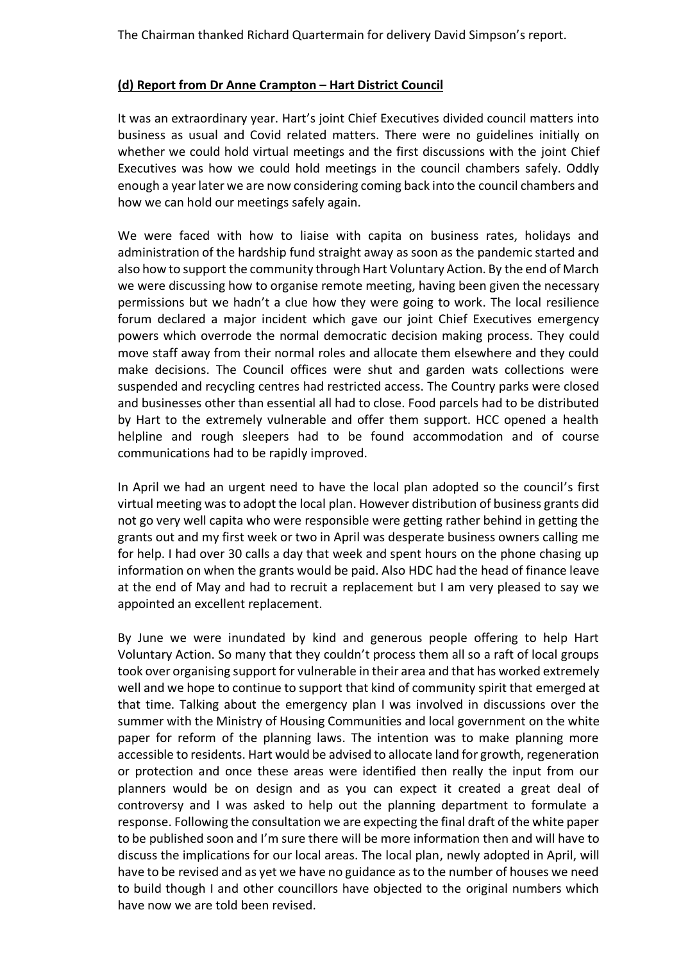# **(d) Report from Dr Anne Crampton – Hart District Council**

It was an extraordinary year. Hart's joint Chief Executives divided council matters into business as usual and Covid related matters. There were no guidelines initially on whether we could hold virtual meetings and the first discussions with the joint Chief Executives was how we could hold meetings in the council chambers safely. Oddly enough a year later we are now considering coming back into the council chambers and how we can hold our meetings safely again.

We were faced with how to liaise with capita on business rates, holidays and administration of the hardship fund straight away as soon as the pandemic started and also how to support the community through Hart Voluntary Action. By the end of March we were discussing how to organise remote meeting, having been given the necessary permissions but we hadn't a clue how they were going to work. The local resilience forum declared a major incident which gave our joint Chief Executives emergency powers which overrode the normal democratic decision making process. They could move staff away from their normal roles and allocate them elsewhere and they could make decisions. The Council offices were shut and garden wats collections were suspended and recycling centres had restricted access. The Country parks were closed and businesses other than essential all had to close. Food parcels had to be distributed by Hart to the extremely vulnerable and offer them support. HCC opened a health helpline and rough sleepers had to be found accommodation and of course communications had to be rapidly improved.

In April we had an urgent need to have the local plan adopted so the council's first virtual meeting was to adopt the local plan. However distribution of business grants did not go very well capita who were responsible were getting rather behind in getting the grants out and my first week or two in April was desperate business owners calling me for help. I had over 30 calls a day that week and spent hours on the phone chasing up information on when the grants would be paid. Also HDC had the head of finance leave at the end of May and had to recruit a replacement but I am very pleased to say we appointed an excellent replacement.

By June we were inundated by kind and generous people offering to help Hart Voluntary Action. So many that they couldn't process them all so a raft of local groups took over organising support for vulnerable in their area and that has worked extremely well and we hope to continue to support that kind of community spirit that emerged at that time. Talking about the emergency plan I was involved in discussions over the summer with the Ministry of Housing Communities and local government on the white paper for reform of the planning laws. The intention was to make planning more accessible to residents. Hart would be advised to allocate land for growth, regeneration or protection and once these areas were identified then really the input from our planners would be on design and as you can expect it created a great deal of controversy and I was asked to help out the planning department to formulate a response. Following the consultation we are expecting the final draft of the white paper to be published soon and I'm sure there will be more information then and will have to discuss the implications for our local areas. The local plan, newly adopted in April, will have to be revised and as yet we have no guidance as to the number of houses we need to build though I and other councillors have objected to the original numbers which have now we are told been revised.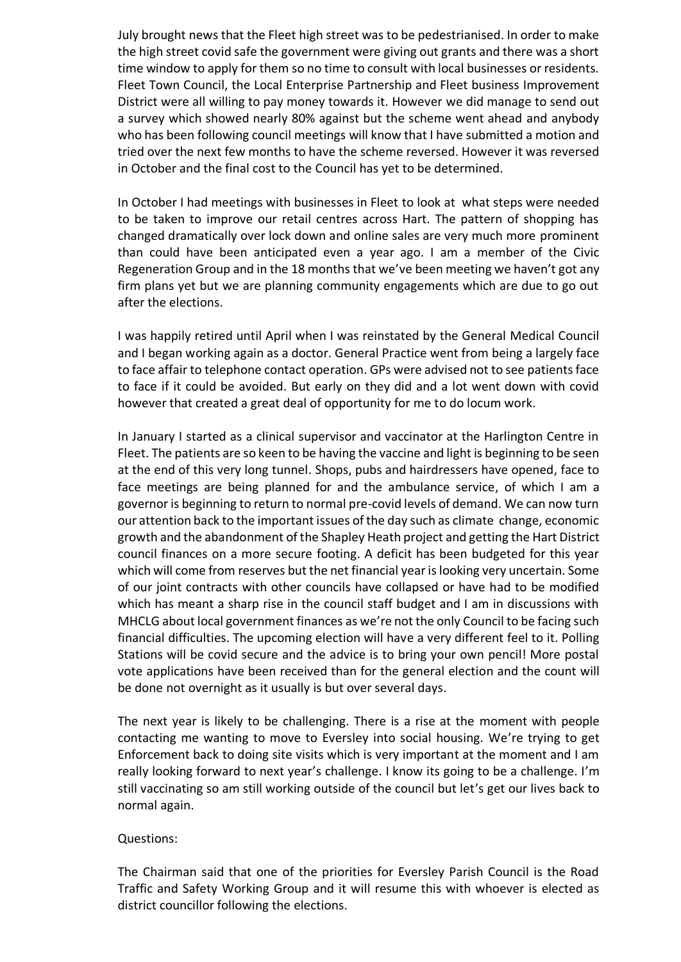July brought news that the Fleet high street was to be pedestrianised. In order to make the high street covid safe the government were giving out grants and there was a short time window to apply for them so no time to consult with local businesses or residents. Fleet Town Council, the Local Enterprise Partnership and Fleet business Improvement District were all willing to pay money towards it. However we did manage to send out a survey which showed nearly 80% against but the scheme went ahead and anybody who has been following council meetings will know that I have submitted a motion and tried over the next few months to have the scheme reversed. However it was reversed in October and the final cost to the Council has yet to be determined.

In October I had meetings with businesses in Fleet to look at what steps were needed to be taken to improve our retail centres across Hart. The pattern of shopping has changed dramatically over lock down and online sales are very much more prominent than could have been anticipated even a year ago. I am a member of the Civic Regeneration Group and in the 18 months that we've been meeting we haven't got any firm plans yet but we are planning community engagements which are due to go out after the elections.

I was happily retired until April when I was reinstated by the General Medical Council and I began working again as a doctor. General Practice went from being a largely face to face affair to telephone contact operation. GPs were advised not to see patients face to face if it could be avoided. But early on they did and a lot went down with covid however that created a great deal of opportunity for me to do locum work.

In January I started as a clinical supervisor and vaccinator at the Harlington Centre in Fleet. The patients are so keen to be having the vaccine and light is beginning to be seen at the end of this very long tunnel. Shops, pubs and hairdressers have opened, face to face meetings are being planned for and the ambulance service, of which I am a governor is beginning to return to normal pre-covid levels of demand. We can now turn our attention back to the important issues of the day such as climate change, economic growth and the abandonment of the Shapley Heath project and getting the Hart District council finances on a more secure footing. A deficit has been budgeted for this year which will come from reserves but the net financial year is looking very uncertain. Some of our joint contracts with other councils have collapsed or have had to be modified which has meant a sharp rise in the council staff budget and I am in discussions with MHCLG about local government finances as we're not the only Council to be facing such financial difficulties. The upcoming election will have a very different feel to it. Polling Stations will be covid secure and the advice is to bring your own pencil! More postal vote applications have been received than for the general election and the count will be done not overnight as it usually is but over several days.

The next year is likely to be challenging. There is a rise at the moment with people contacting me wanting to move to Eversley into social housing. We're trying to get Enforcement back to doing site visits which is very important at the moment and I am really looking forward to next year's challenge. I know its going to be a challenge. I'm still vaccinating so am still working outside of the council but let's get our lives back to normal again.

### Questions:

The Chairman said that one of the priorities for Eversley Parish Council is the Road Traffic and Safety Working Group and it will resume this with whoever is elected as district councillor following the elections.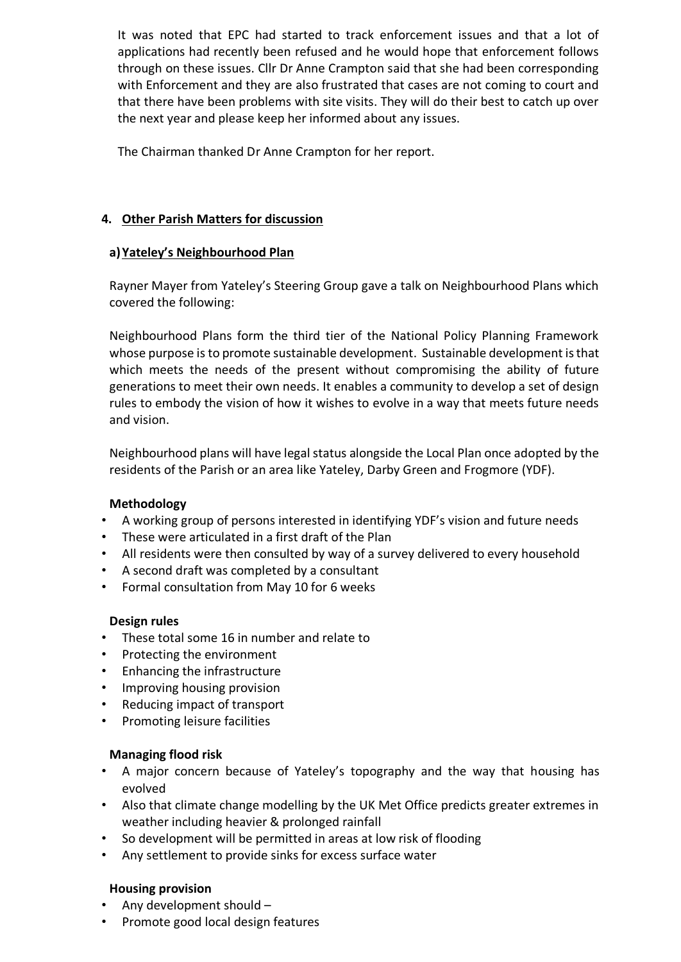It was noted that EPC had started to track enforcement issues and that a lot of applications had recently been refused and he would hope that enforcement follows through on these issues. Cllr Dr Anne Crampton said that she had been corresponding with Enforcement and they are also frustrated that cases are not coming to court and that there have been problems with site visits. They will do their best to catch up over the next year and please keep her informed about any issues.

The Chairman thanked Dr Anne Crampton for her report.

# **4. Other Parish Matters for discussion**

# **a)Yateley's Neighbourhood Plan**

Rayner Mayer from Yateley's Steering Group gave a talk on Neighbourhood Plans which covered the following:

Neighbourhood Plans form the third tier of the National Policy Planning Framework whose purpose is to promote sustainable development. Sustainable development is that which meets the needs of the present without compromising the ability of future generations to meet their own needs. It enables a community to develop a set of design rules to embody the vision of how it wishes to evolve in a way that meets future needs and vision.

Neighbourhood plans will have legal status alongside the Local Plan once adopted by the residents of the Parish or an area like Yateley, Darby Green and Frogmore (YDF).

# **Methodology**

- A working group of persons interested in identifying YDF's vision and future needs
- These were articulated in a first draft of the Plan
- All residents were then consulted by way of a survey delivered to every household
- A second draft was completed by a consultant
- Formal consultation from May 10 for 6 weeks

# **Design rules**

- These total some 16 in number and relate to
- Protecting the environment
- Enhancing the infrastructure
- Improving housing provision
- Reducing impact of transport
- Promoting leisure facilities

# **Managing flood risk**

- A major concern because of Yateley's topography and the way that housing has evolved
- Also that climate change modelling by the UK Met Office predicts greater extremes in weather including heavier & prolonged rainfall
- So development will be permitted in areas at low risk of flooding
- Any settlement to provide sinks for excess surface water

# **Housing provision**

- Any development should –
- Promote good local design features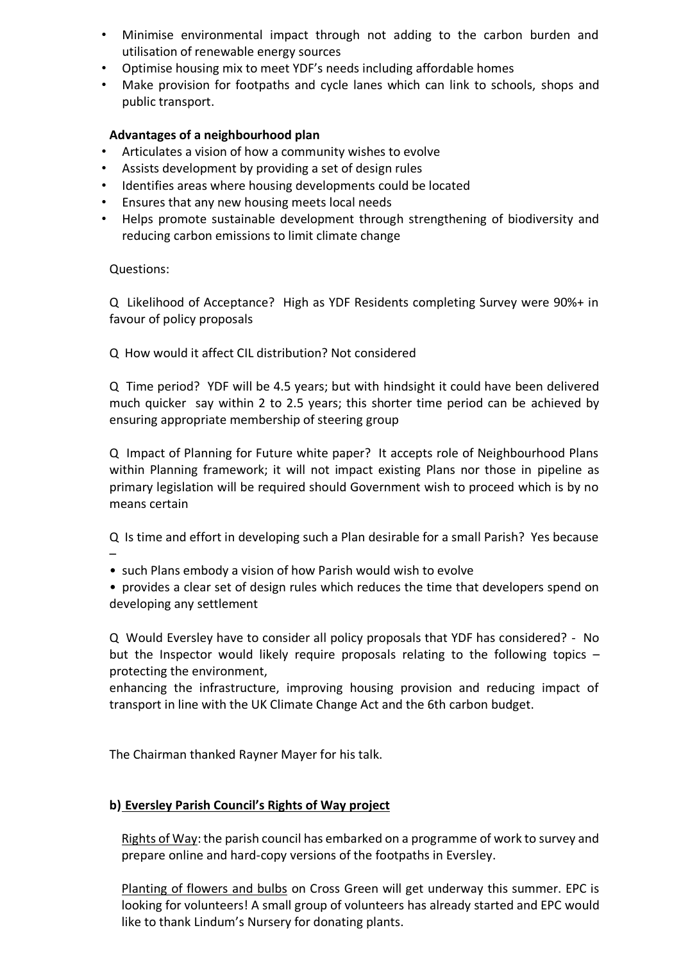- Minimise environmental impact through not adding to the carbon burden and utilisation of renewable energy sources
- Optimise housing mix to meet YDF's needs including affordable homes
- Make provision for footpaths and cycle lanes which can link to schools, shops and public transport.

# **Advantages of a neighbourhood plan**

- Articulates a vision of how a community wishes to evolve
- Assists development by providing a set of design rules
- Identifies areas where housing developments could be located
- Ensures that any new housing meets local needs
- Helps promote sustainable development through strengthening of biodiversity and reducing carbon emissions to limit climate change

# Questions:

Q Likelihood of Acceptance? High as YDF Residents completing Survey were 90%+ in favour of policy proposals

Q How would it affect CIL distribution? Not considered

Q Time period? YDF will be 4.5 years; but with hindsight it could have been delivered much quicker say within 2 to 2.5 years; this shorter time period can be achieved by ensuring appropriate membership of steering group

Q Impact of Planning for Future white paper? It accepts role of Neighbourhood Plans within Planning framework; it will not impact existing Plans nor those in pipeline as primary legislation will be required should Government wish to proceed which is by no means certain

Q Is time and effort in developing such a Plan desirable for a small Parish? Yes because –

• such Plans embody a vision of how Parish would wish to evolve

• provides a clear set of design rules which reduces the time that developers spend on developing any settlement

Q Would Eversley have to consider all policy proposals that YDF has considered? - No but the Inspector would likely require proposals relating to the following topics – protecting the environment,

enhancing the infrastructure, improving housing provision and reducing impact of transport in line with the UK Climate Change Act and the 6th carbon budget.

The Chairman thanked Rayner Mayer for his talk.

# **b) Eversley Parish Council's Rights of Way project**

Rights of Way: the parish council has embarked on a programme of work to survey and prepare online and hard-copy versions of the footpaths in Eversley.

Planting of flowers and bulbs on Cross Green will get underway this summer. EPC is looking for volunteers! A small group of volunteers has already started and EPC would like to thank Lindum's Nursery for donating plants.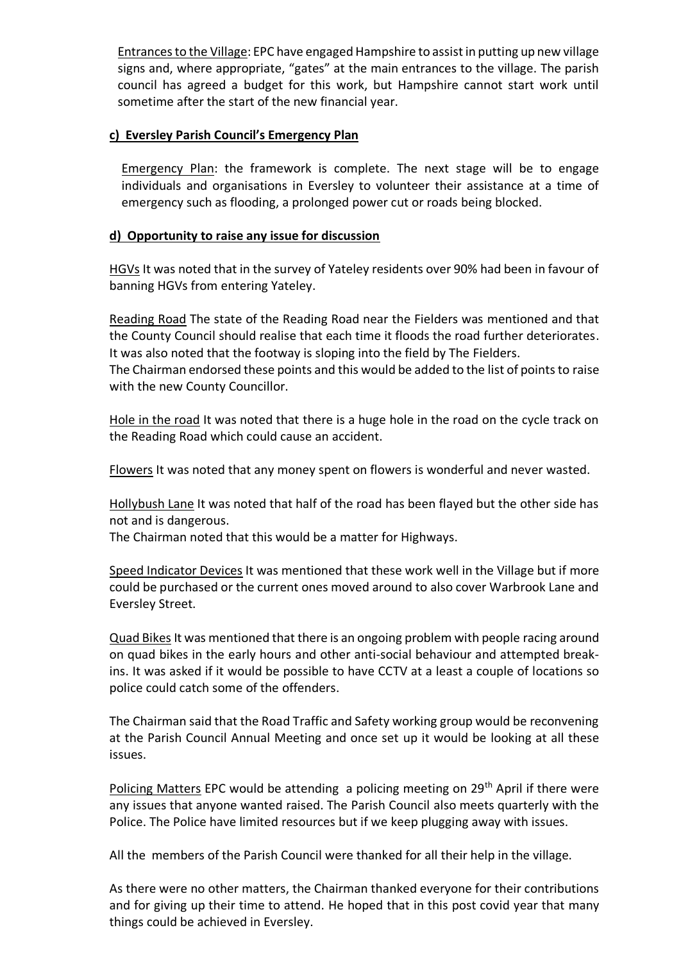Entrances to the Village: EPC have engaged Hampshire to assist in putting up new village signs and, where appropriate, "gates" at the main entrances to the village. The parish council has agreed a budget for this work, but Hampshire cannot start work until sometime after the start of the new financial year.

### **c) Eversley Parish Council's Emergency Plan**

Emergency Plan: the framework is complete. The next stage will be to engage individuals and organisations in Eversley to volunteer their assistance at a time of emergency such as flooding, a prolonged power cut or roads being blocked.

### **d) Opportunity to raise any issue for discussion**

HGVs It was noted that in the survey of Yateley residents over 90% had been in favour of banning HGVs from entering Yateley.

Reading Road The state of the Reading Road near the Fielders was mentioned and that the County Council should realise that each time it floods the road further deteriorates. It was also noted that the footway is sloping into the field by The Fielders.

The Chairman endorsed these points and this would be added to the list of points to raise with the new County Councillor.

Hole in the road It was noted that there is a huge hole in the road on the cycle track on the Reading Road which could cause an accident.

Flowers It was noted that any money spent on flowers is wonderful and never wasted.

Hollybush Lane It was noted that half of the road has been flayed but the other side has not and is dangerous.

The Chairman noted that this would be a matter for Highways.

Speed Indicator Devices It was mentioned that these work well in the Village but if more could be purchased or the current ones moved around to also cover Warbrook Lane and Eversley Street.

Quad Bikes It was mentioned that there is an ongoing problem with people racing around on quad bikes in the early hours and other anti-social behaviour and attempted breakins. It was asked if it would be possible to have CCTV at a least a couple of locations so police could catch some of the offenders.

The Chairman said that the Road Traffic and Safety working group would be reconvening at the Parish Council Annual Meeting and once set up it would be looking at all these issues.

Policing Matters EPC would be attending a policing meeting on 29<sup>th</sup> April if there were any issues that anyone wanted raised. The Parish Council also meets quarterly with the Police. The Police have limited resources but if we keep plugging away with issues.

All the members of the Parish Council were thanked for all their help in the village.

As there were no other matters, the Chairman thanked everyone for their contributions and for giving up their time to attend. He hoped that in this post covid year that many things could be achieved in Eversley.